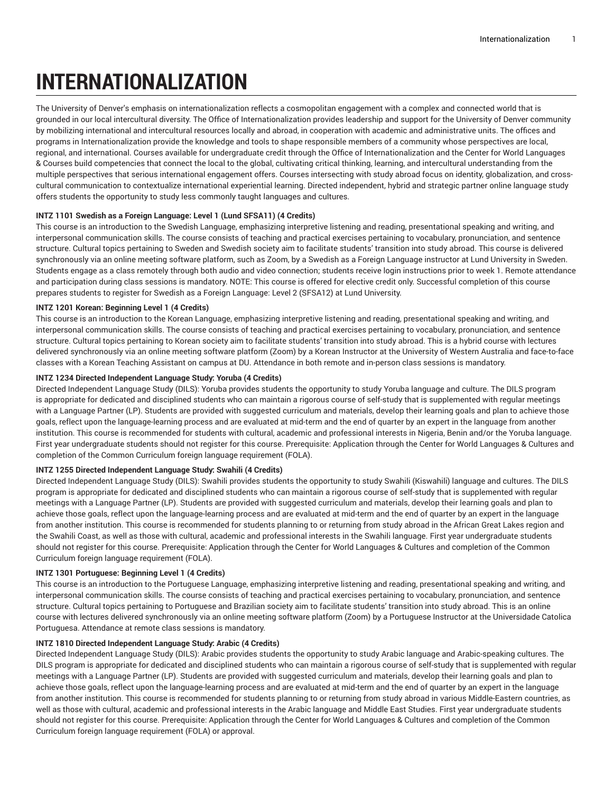# **INTERNATIONALIZATION**

The University of Denver's emphasis on internationalization reflects a cosmopolitan engagement with a complex and connected world that is grounded in our local intercultural diversity. The Office of Internationalization provides leadership and support for the University of Denver community by mobilizing international and intercultural resources locally and abroad, in cooperation with academic and administrative units. The offices and programs in Internationalization provide the knowledge and tools to shape responsible members of a community whose perspectives are local, regional, and international. Courses available for undergraduate credit through the Office of Internationalization and the Center for World Languages & Courses build competencies that connect the local to the global, cultivating critical thinking, learning, and intercultural understanding from the multiple perspectives that serious international engagement offers. Courses intersecting with study abroad focus on identity, globalization, and crosscultural communication to contextualize international experiential learning. Directed independent, hybrid and strategic partner online language study offers students the opportunity to study less commonly taught languages and cultures.

# **INTZ 1101 Swedish as a Foreign Language: Level 1 (Lund SFSA11) (4 Credits)**

This course is an introduction to the Swedish Language, emphasizing interpretive listening and reading, presentational speaking and writing, and interpersonal communication skills. The course consists of teaching and practical exercises pertaining to vocabulary, pronunciation, and sentence structure. Cultural topics pertaining to Sweden and Swedish society aim to facilitate students' transition into study abroad. This course is delivered synchronously via an online meeting software platform, such as Zoom, by a Swedish as a Foreign Language instructor at Lund University in Sweden. Students engage as a class remotely through both audio and video connection; students receive login instructions prior to week 1. Remote attendance and participation during class sessions is mandatory. NOTE: This course is offered for elective credit only. Successful completion of this course prepares students to register for Swedish as a Foreign Language: Level 2 (SFSA12) at Lund University.

# **INTZ 1201 Korean: Beginning Level 1 (4 Credits)**

This course is an introduction to the Korean Language, emphasizing interpretive listening and reading, presentational speaking and writing, and interpersonal communication skills. The course consists of teaching and practical exercises pertaining to vocabulary, pronunciation, and sentence structure. Cultural topics pertaining to Korean society aim to facilitate students' transition into study abroad. This is a hybrid course with lectures delivered synchronously via an online meeting software platform (Zoom) by a Korean Instructor at the University of Western Australia and face-to-face classes with a Korean Teaching Assistant on campus at DU. Attendance in both remote and in-person class sessions is mandatory.

## **INTZ 1234 Directed Independent Language Study: Yoruba (4 Credits)**

Directed Independent Language Study (DILS): Yoruba provides students the opportunity to study Yoruba language and culture. The DILS program is appropriate for dedicated and disciplined students who can maintain a rigorous course of self-study that is supplemented with regular meetings with a Language Partner (LP). Students are provided with suggested curriculum and materials, develop their learning goals and plan to achieve those goals, reflect upon the language-learning process and are evaluated at mid-term and the end of quarter by an expert in the language from another institution. This course is recommended for students with cultural, academic and professional interests in Nigeria, Benin and/or the Yoruba language. First year undergraduate students should not register for this course. Prerequisite: Application through the Center for World Languages & Cultures and completion of the Common Curriculum foreign language requirement (FOLA).

## **INTZ 1255 Directed Independent Language Study: Swahili (4 Credits)**

Directed Independent Language Study (DILS): Swahili provides students the opportunity to study Swahili (Kiswahili) language and cultures. The DILS program is appropriate for dedicated and disciplined students who can maintain a rigorous course of self-study that is supplemented with regular meetings with a Language Partner (LP). Students are provided with suggested curriculum and materials, develop their learning goals and plan to achieve those goals, reflect upon the language-learning process and are evaluated at mid-term and the end of quarter by an expert in the language from another institution. This course is recommended for students planning to or returning from study abroad in the African Great Lakes region and the Swahili Coast, as well as those with cultural, academic and professional interests in the Swahili language. First year undergraduate students should not register for this course. Prerequisite: Application through the Center for World Languages & Cultures and completion of the Common Curriculum foreign language requirement (FOLA).

## **INTZ 1301 Portuguese: Beginning Level 1 (4 Credits)**

This course is an introduction to the Portuguese Language, emphasizing interpretive listening and reading, presentational speaking and writing, and interpersonal communication skills. The course consists of teaching and practical exercises pertaining to vocabulary, pronunciation, and sentence structure. Cultural topics pertaining to Portuguese and Brazilian society aim to facilitate students' transition into study abroad. This is an online course with lectures delivered synchronously via an online meeting software platform (Zoom) by a Portuguese Instructor at the Universidade Catolica Portuguesa. Attendance at remote class sessions is mandatory.

# **INTZ 1810 Directed Independent Language Study: Arabic (4 Credits)**

Directed Independent Language Study (DILS): Arabic provides students the opportunity to study Arabic language and Arabic-speaking cultures. The DILS program is appropriate for dedicated and disciplined students who can maintain a rigorous course of self-study that is supplemented with regular meetings with a Language Partner (LP). Students are provided with suggested curriculum and materials, develop their learning goals and plan to achieve those goals, reflect upon the language-learning process and are evaluated at mid-term and the end of quarter by an expert in the language from another institution. This course is recommended for students planning to or returning from study abroad in various Middle-Eastern countries, as well as those with cultural, academic and professional interests in the Arabic language and Middle East Studies. First year undergraduate students should not register for this course. Prerequisite: Application through the Center for World Languages & Cultures and completion of the Common Curriculum foreign language requirement (FOLA) or approval.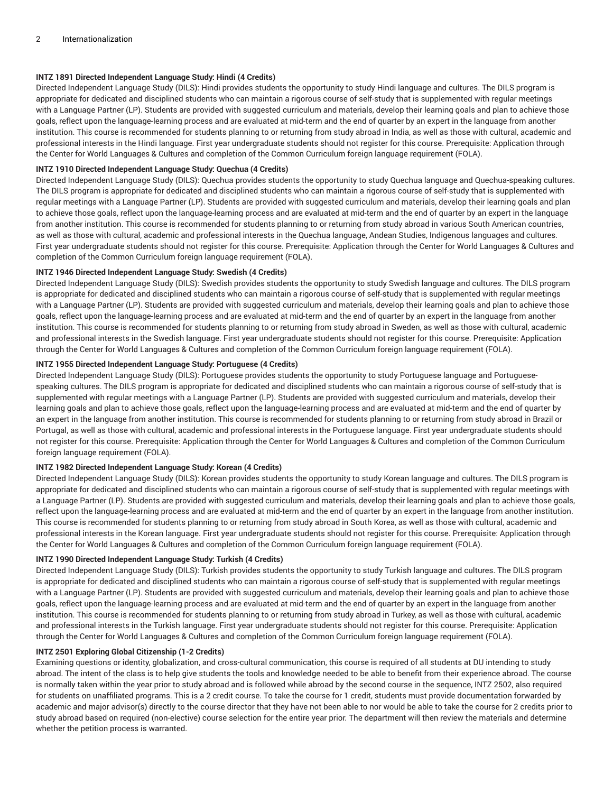# **INTZ 1891 Directed Independent Language Study: Hindi (4 Credits)**

Directed Independent Language Study (DILS): Hindi provides students the opportunity to study Hindi language and cultures. The DILS program is appropriate for dedicated and disciplined students who can maintain a rigorous course of self-study that is supplemented with regular meetings with a Language Partner (LP). Students are provided with suggested curriculum and materials, develop their learning goals and plan to achieve those goals, reflect upon the language-learning process and are evaluated at mid-term and the end of quarter by an expert in the language from another institution. This course is recommended for students planning to or returning from study abroad in India, as well as those with cultural, academic and professional interests in the Hindi language. First year undergraduate students should not register for this course. Prerequisite: Application through the Center for World Languages & Cultures and completion of the Common Curriculum foreign language requirement (FOLA).

## **INTZ 1910 Directed Independent Language Study: Quechua (4 Credits)**

Directed Independent Language Study (DILS): Quechua provides students the opportunity to study Quechua language and Quechua-speaking cultures. The DILS program is appropriate for dedicated and disciplined students who can maintain a rigorous course of self-study that is supplemented with regular meetings with a Language Partner (LP). Students are provided with suggested curriculum and materials, develop their learning goals and plan to achieve those goals, reflect upon the language-learning process and are evaluated at mid-term and the end of quarter by an expert in the language from another institution. This course is recommended for students planning to or returning from study abroad in various South American countries, as well as those with cultural, academic and professional interests in the Quechua language, Andean Studies, Indigenous languages and cultures. First year undergraduate students should not register for this course. Prerequisite: Application through the Center for World Languages & Cultures and completion of the Common Curriculum foreign language requirement (FOLA).

#### **INTZ 1946 Directed Independent Language Study: Swedish (4 Credits)**

Directed Independent Language Study (DILS): Swedish provides students the opportunity to study Swedish language and cultures. The DILS program is appropriate for dedicated and disciplined students who can maintain a rigorous course of self-study that is supplemented with regular meetings with a Language Partner (LP). Students are provided with suggested curriculum and materials, develop their learning goals and plan to achieve those goals, reflect upon the language-learning process and are evaluated at mid-term and the end of quarter by an expert in the language from another institution. This course is recommended for students planning to or returning from study abroad in Sweden, as well as those with cultural, academic and professional interests in the Swedish language. First year undergraduate students should not register for this course. Prerequisite: Application through the Center for World Languages & Cultures and completion of the Common Curriculum foreign language requirement (FOLA).

#### **INTZ 1955 Directed Independent Language Study: Portuguese (4 Credits)**

Directed Independent Language Study (DILS): Portuguese provides students the opportunity to study Portuguese language and Portuguesespeaking cultures. The DILS program is appropriate for dedicated and disciplined students who can maintain a rigorous course of self-study that is supplemented with regular meetings with a Language Partner (LP). Students are provided with suggested curriculum and materials, develop their learning goals and plan to achieve those goals, reflect upon the language-learning process and are evaluated at mid-term and the end of quarter by an expert in the language from another institution. This course is recommended for students planning to or returning from study abroad in Brazil or Portugal, as well as those with cultural, academic and professional interests in the Portuguese language. First year undergraduate students should not register for this course. Prerequisite: Application through the Center for World Languages & Cultures and completion of the Common Curriculum foreign language requirement (FOLA).

# **INTZ 1982 Directed Independent Language Study: Korean (4 Credits)**

Directed Independent Language Study (DILS): Korean provides students the opportunity to study Korean language and cultures. The DILS program is appropriate for dedicated and disciplined students who can maintain a rigorous course of self-study that is supplemented with regular meetings with a Language Partner (LP). Students are provided with suggested curriculum and materials, develop their learning goals and plan to achieve those goals, reflect upon the language-learning process and are evaluated at mid-term and the end of quarter by an expert in the language from another institution. This course is recommended for students planning to or returning from study abroad in South Korea, as well as those with cultural, academic and professional interests in the Korean language. First year undergraduate students should not register for this course. Prerequisite: Application through the Center for World Languages & Cultures and completion of the Common Curriculum foreign language requirement (FOLA).

#### **INTZ 1990 Directed Independent Language Study: Turkish (4 Credits)**

Directed Independent Language Study (DILS): Turkish provides students the opportunity to study Turkish language and cultures. The DILS program is appropriate for dedicated and disciplined students who can maintain a rigorous course of self-study that is supplemented with regular meetings with a Language Partner (LP). Students are provided with suggested curriculum and materials, develop their learning goals and plan to achieve those goals, reflect upon the language-learning process and are evaluated at mid-term and the end of quarter by an expert in the language from another institution. This course is recommended for students planning to or returning from study abroad in Turkey, as well as those with cultural, academic and professional interests in the Turkish language. First year undergraduate students should not register for this course. Prerequisite: Application through the Center for World Languages & Cultures and completion of the Common Curriculum foreign language requirement (FOLA).

#### **INTZ 2501 Exploring Global Citizenship (1-2 Credits)**

Examining questions or identity, globalization, and cross-cultural communication, this course is required of all students at DU intending to study abroad. The intent of the class is to help give students the tools and knowledge needed to be able to benefit from their experience abroad. The course is normally taken within the year prior to study abroad and is followed while abroad by the second course in the sequence, INTZ 2502, also required for students on unaffiliated programs. This is a 2 credit course. To take the course for 1 credit, students must provide documentation forwarded by academic and major advisor(s) directly to the course director that they have not been able to nor would be able to take the course for 2 credits prior to study abroad based on required (non-elective) course selection for the entire year prior. The department will then review the materials and determine whether the petition process is warranted.